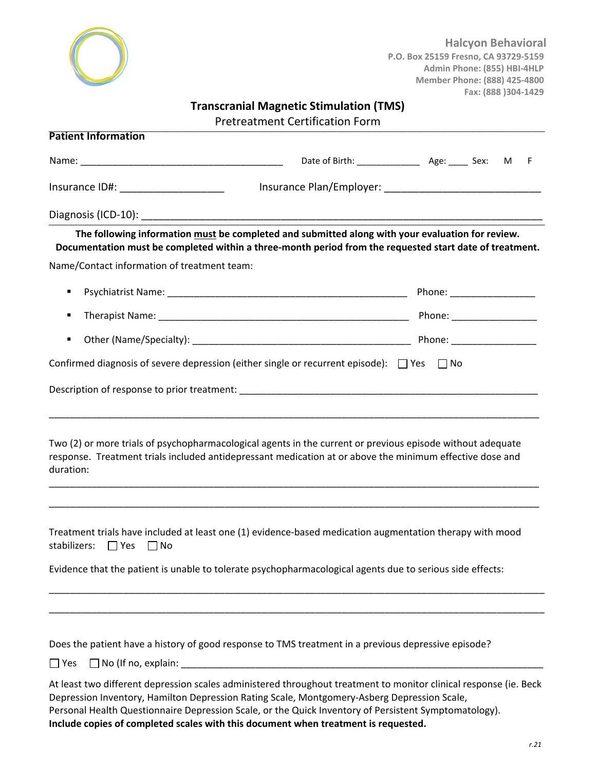

**Halcyon Behavioral P.O. Box 25159 Fresno, CA 93729‐5159 Admin Phone: (855) HBI‐4HLP Member Phone: (888) 425‐4800 Fax: (888 )304‐1429** 

## **Transcranial Magnetic Stimulation (TMS)**

| <b>Pretreatment Certification Form</b> |  |
|----------------------------------------|--|
|                                        |  |

| <b>Patient Information</b>                  |                                                                                                                                                                                                                        |  |
|---------------------------------------------|------------------------------------------------------------------------------------------------------------------------------------------------------------------------------------------------------------------------|--|
|                                             |                                                                                                                                                                                                                        |  |
|                                             |                                                                                                                                                                                                                        |  |
|                                             |                                                                                                                                                                                                                        |  |
|                                             | The following information must be completed and submitted along with your evaluation for review.<br>Documentation must be completed within a three-month period from the requested start date of treatment.            |  |
| Name/Contact information of treatment team: |                                                                                                                                                                                                                        |  |
| ٠                                           |                                                                                                                                                                                                                        |  |
| ٠                                           |                                                                                                                                                                                                                        |  |
| ٠                                           |                                                                                                                                                                                                                        |  |
|                                             | Confirmed diagnosis of severe depression (either single or recurrent episode): $\Box$ Yes $\Box$ No                                                                                                                    |  |
|                                             |                                                                                                                                                                                                                        |  |
| duration:                                   | Two (2) or more trials of psychopharmacological agents in the current or previous episode without adequate<br>response. Treatment trials included antidepressant medication at or above the minimum effective dose and |  |
| stabilizers:<br>$\Box$ Yes<br>$\Box$ No     | Treatment trials have included at least one (1) evidence-based medication augmentation therapy with mood                                                                                                               |  |
|                                             | Evidence that the patient is unable to tolerate psychopharmacological agents due to serious side effects:                                                                                                              |  |
|                                             |                                                                                                                                                                                                                        |  |
|                                             | Does the patient have a history of good response to TMS treatment in a previous depressive episode?                                                                                                                    |  |
| $\Box$ Yes                                  |                                                                                                                                                                                                                        |  |
|                                             | At least two different depression scales administered throughout treatment to monitor clinical response (ie. Beck                                                                                                      |  |

Depression Inventory, Hamilton Depression Rating Scale, Montgomery-Asberg Depression Scale, Personal Health Questionnaire Depression Scale, or the Quick Inventory of Persistent Symptomatology). **Include copies of completed scales with this document when treatment is requested.**